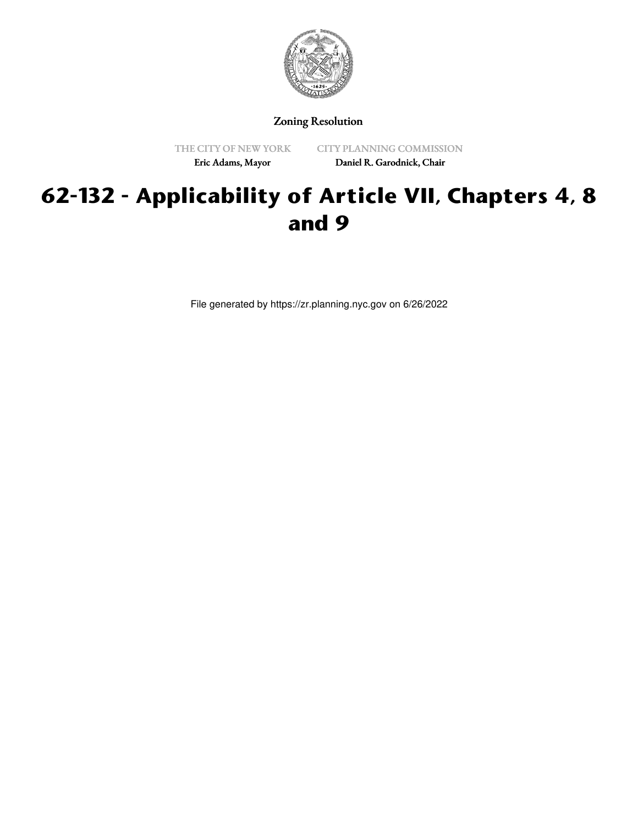

Zoning Resolution

THE CITY OF NEW YORK

CITY PLANNING COMMISSION

Eric Adams, Mayor

Daniel R. Garodnick, Chair

## **62-132 - Applicability of Article VII, Chapters 4, 8 and 9**

File generated by https://zr.planning.nyc.gov on 6/26/2022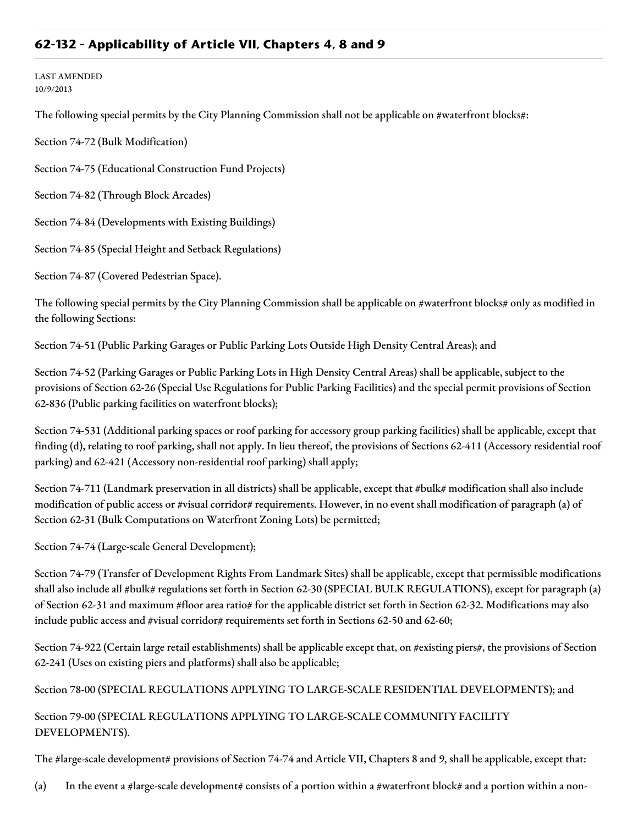## **62-132 - Applicability of Article VII, Chapters 4, 8 and 9**

## LAST AMENDED 10/9/2013

The following special permits by the City Planning Commission shall not be applicable on #waterfront blocks#:

Section 74-72 (Bulk Modification)

Section 74-75 (Educational Construction Fund Projects)

Section 74-82 (Through Block Arcades)

Section 74-84 (Developments with Existing Buildings)

Section 74-85 (Special Height and Setback Regulations)

Section 74-87 (Covered Pedestrian Space).

The following special permits by the City Planning Commission shall be applicable on #waterfront blocks# only as modified in the following Sections:

Section 74-51 (Public Parking Garages or Public Parking Lots Outside High Density Central Areas); and

Section 74-52 (Parking Garages or Public Parking Lots in High Density Central Areas) shall be applicable, subject to the provisions of Section 62-26 (Special Use Regulations for Public Parking Facilities) and the special permit provisions of Section 62-836 (Public parking facilities on waterfront blocks);

Section 74-531 (Additional parking spaces or roof parking for accessory group parking facilities) shall be applicable, except that finding (d), relating to roof parking, shall not apply. In lieu thereof, the provisions of Sections 62-411 (Accessory residential roof parking) and 62-421 (Accessory non-residential roof parking) shall apply;

Section 74-711 (Landmark preservation in all districts) shall be applicable, except that #bulk# modification shall also include modification of public access or #visual corridor# requirements. However, in no event shall modification of paragraph (a) of Section 62-31 (Bulk Computations on Waterfront Zoning Lots) be permitted;

Section 74-74 (Large-scale General Development);

Section 74-79 (Transfer of Development Rights From Landmark Sites) shall be applicable, except that permissible modifications shall also include all #bulk# regulations set forth in Section 62-30 (SPECIAL BULK REGULATIONS), except for paragraph (a) of Section 62-31 and maximum #floor area ratio# for the applicable district set forth in Section 62-32. Modifications may also include public access and #visual corridor# requirements set forth in Sections 62-50 and 62-60;

Section 74-922 (Certain large retail establishments) shall be applicable except that, on #existing piers#, the provisions of Section 62-241 (Uses on existing piers and platforms) shall also be applicable;

Section 78-00 (SPECIAL REGULATIONS APPLYING TO LARGE-SCALE RESIDENTIAL DEVELOPMENTS); and

Section 79-00 (SPECIAL REGULATIONS APPLYING TO LARGE-SCALE COMMUNITY FACILITY DEVELOPMENTS).

The #large-scale development# provisions of Section 74-74 and Article VII, Chapters 8 and 9, shall be applicable, except that:

(a) In the event a #large-scale development# consists of a portion within a #waterfront block# and a portion within a non-